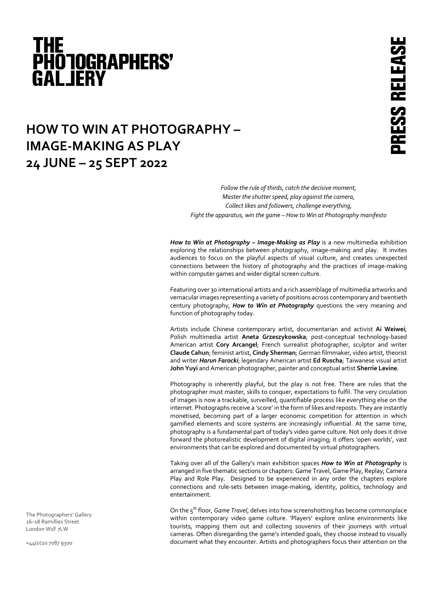# THE<br>PHO IOGRAPHERS' **GALJERY**

## **HOW TO WIN AT PHOTOGRAPHY – IMAGE-MAKING AS PLAY 24 JUNE – 25 SEPT 2022**

*Follow the rule of thirds, catch the decisive moment, Master the shutter speed, play against the camera, Collect likes and followers, challenge everything, Fight the apparatus, win the game – How to Win at Photography manifesto*

*How to Win at Photography – Image-Making as Play* is a new multimedia exhibition exploring the relationships between photography, image-making and play. It invites audiences to focus on the playful aspects of visual culture, and creates unexpected connections between the history of photography and the practices of image-making within computer games and wider digital screen culture.

Featuring over 30 international artists and a rich assemblage of multimedia artworks and vernacular images representing a variety of positions across contemporary and twentieth century photography, *How to Win at Photography* questions the very meaning and function of photography today.

Artists include Chinese contemporary artist, documentarian and activist **Ai Weiwei**; Polish multimedia artist **Aneta Grzeszykowska**; post-conceptual technology-based American artist **Cory Arcangel**; French surrealist photographer, sculptor and writer **Claude Cahun**; feminist artist, **Cindy Sherman**; German filmmaker, video artist, theorist and writer *Harun Farocki*; legendary American artist **Ed Ruscha**; Taiwanese visual artist **John Yuyi** and American photographer, painter and conceptual artist **Sherrie Levine**.

Photography is inherently playful, but the play is not free. There are rules that the photographer must master, skills to conquer, expectations to fulfil. The very circulation of images is now a trackable, surveilled, quantifiable process like everything else on the internet. Photographs receive a 'score' in the form of likes and reposts. They are instantly monetised, becoming part of a larger economic competition for attention in which gamified elements and score systems are increasingly influential. At the same time, photography is a fundamental part of today's video game culture. Not only does it drive forward the photorealistic development of digital imaging; it offers 'open worlds', vast environments that can be explored and documented by virtual photographers.

Taking over all of the Gallery's main exhibition spaces *How to Win at Photography* is arranged in five thematic sections or chapters: Game Travel, Game Play, Replay, Camera Play and Role Play. Designed to be experienced in any order the chapters explore connections and rule-sets between image-making, identity, politics, technology and entertainment.

On the 5th floor, *Game Travel*, delves into how screenshotting has become commonplace within contemporary video game culture. 'Players' explore online environments like tourists, mapping them out and collecting souvenirs of their journeys with virtual cameras. Often disregarding the game's intended goals, they choose instead to visually document what they encounter. Artists and photographers focus their attention on the

The Photographers' Gallery 16–18 Ramillies Street London W1F 7LW

+44(0)20 7087 9300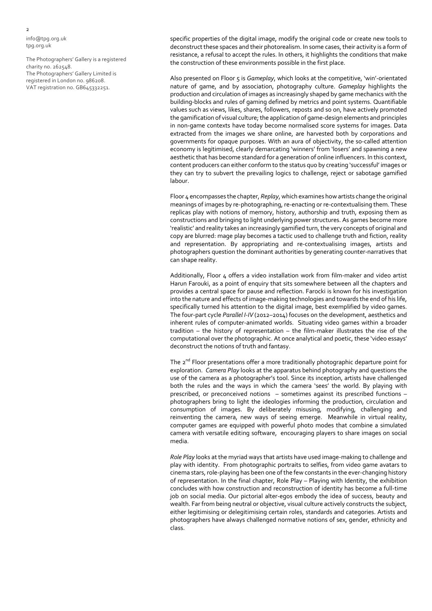info@tpg.org.uk tpg.org.uk

The Photographers' Gallery is a registered charity no. 262548. The Photographers' Gallery Limited is registered in London no. 986208. VAT registration no. GB645332251.

specific properties of the digital image, modify the original code or create new tools to deconstruct these spaces and their photorealism. In some cases, their activity is a form of resistance, a refusal to accept the rules. In others, it highlights the conditions that make the construction of these environments possible in the first place.

Also presented on Floor 5 is *Gameplay*, which looks at the competitive, 'win'-orientated nature of game, and by association, photography culture. *Gameplay* highlights the production and circulation of images as increasingly shaped by game mechanics with the building-blocks and rules of gaming defined by metrics and point systems. Quantifiable values such as views, likes, shares, followers, reposts and so on, have actively promoted the gamification of visual culture; the application of game-design elements and principles in non-game contexts have today become normalised score systems for images. Data extracted from the images we share online, are harvested both by corporations and governments for opaque purposes. With an aura of objectivity, the so-called attention economy is legitimised, clearly demarcating 'winners' from 'losers' and spawning a new aesthetic that has become standard for a generation of online influencers. In this context, content producers can either conform to the status quo by creating 'successful' images or they can try to subvert the prevailing logics to challenge, reject or sabotage gamified labour.

Floor 4 encompasses the chapter, *Replay*, which examines how artists change the original meanings of images by re-photographing, re-enacting or re-contextualising them. These replicas play with notions of memory, history, authorship and truth, exposing them as constructions and bringing to light underlying power structures. As games become more 'realistic' and reality takes an increasingly gamified turn, the very concepts of original and copy are blurred: mage play becomes a tactic used to challenge truth and fiction, reality and representation. By appropriating and re-contextualising images, artists and photographers question the dominant authorities by generating counter-narratives that can shape reality.

Additionally, Floor 4 offers a video installation work from film-maker and video artist Harun Farouki, as a point of enquiry that sits somewhere between all the chapters and provides a central space for pause and reflection. Farocki is known for his investigation into the nature and effects of image-making technologies and towards the end of his life, specifically turned his attention to the digital image, best exemplified by video games. The four-part cycle *Parallel I-IV* (2012–2014) focuses on the development, aesthetics and inherent rules of computer-animated worlds. Situating video games within a broader tradition – the history of representation – the film-maker illustrates the rise of the computational over the photographic. At once analytical and poetic, these 'video essays' deconstruct the notions of truth and fantasy.

The 2<sup>nd</sup> Floor presentations offer a more traditionally photographic departure point for exploration. *Camera Play* looks at the apparatus behind photography and questions the use of the camera as a photographer's tool. Since its inception, artists have challenged both the rules and the ways in which the camera 'sees' the world. By playing with prescribed, or preconceived notions – sometimes against its prescribed functions – photographers bring to light the ideologies informing the production, circulation and consumption of images. By deliberately misusing, modifying, challenging and reinventing the camera, new ways of seeing emerge. Meanwhile in virtual reality, computer games are equipped with powerful photo modes that combine a simulated camera with versatile editing software, encouraging players to share images on social media.

*Role Play* looks at the myriad ways that artists have used image-making to challenge and play with identity. From photographic portraits to selfies, from video game avatars to cinema stars, role-playing has been one of the few constants in the ever-changing history of representation. In the final chapter, Role Play – Playing with Identity, the exhibition concludes with how construction and reconstruction of identity has become a full-time job on social media. Our pictorial alter-egos embody the idea of success, beauty and wealth. Far from being neutral or objective, visual culture actively constructs the subject, either legitimising or delegitimising certain roles, standards and categories. Artists and photographers have always challenged normative notions of sex, gender, ethnicity and class.

2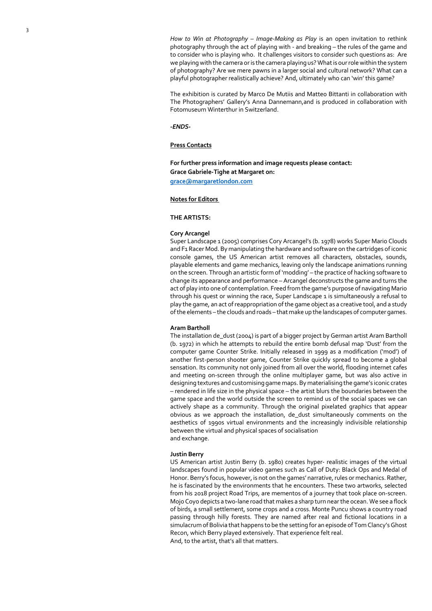*How to Win at Photography – Image -Making as Play* is an open invitation to rethink photography through the act of playing with - and breaking – the rules of the game and to consider who is playing who. It challenges visitors to consider such questions as: Are we playing with the camera or is the camera playing us? What is our role within the system of photography? Are we mere pawns in a larger social and cultural network? What can a playful photographer realistically achieve? And, ultimately who can 'win' this game?

The exhibition is curated by Marco De Mutiis and Matteo Bittanti in collaboration with The Photographers' Gallery's Anna Dannemann,and is produced in collaboration with Fotomuseum Winterthur in Switzerland.

#### *-ENDS-*

#### **Press Contacts**

**For further press information and image requests please contact: Grace Gabriele -Tighe at Margaret on : grace@margaretlondon.com**

#### **Notes for Editors**

#### **THE ARTISTS:**

#### **Cory Arcangel**

Super Landscape 1 (2005) comprises Cory Arcangel's (b. 1978) works Super Mario Clouds and F1 Racer Mod. By manipulating the hardware and software on the cartridges of iconic<br>console games, the US American artist removes all characters, obstacles, sounds, playable elements and game mechanics, leaving only the landscape animations running on the screen. Through an artistic form of 'modding' – the practice of hacking software to change its appearance and performance – Arcangel deconstructs the game and turns the act of play into one of contemplation. Freed from the game's purpose of navigating Mario through his quest or winning the race, Super Landscape 1 is simultaneously a refusal to play the game, an act of reappropriation of the game object as a creative tool, and a study of the elements – the clouds and roads – that make up the landscapes of computer games.

#### **Aram Bartholl**

The installation de\_dust (2004) is part of a bigger project by German artist Aram Bartholl (b. 1972) in which he attempts to rebuild the entire bomb defusal map 'Dust' from the computer game Counter Strike. Initially released in 1999 as a modification ('mod') of another first -person shooter game, Counter Strike quickly spread to become a global sensation. Its community not only joined from all over the world, flooding internet cafes and meeting on -screen through the online multiplayer game, but was also active in designing textures and customising game maps. By materialising the game's iconic crates<br>– rendered in life size in the physical space – the artist blurs the boundaries between the game space and the world outside the screen to remind us of the social spaces we can actively shape as a community. Through the original pixelated graphics that appear obvious as we approach the installation, de\_dust simultaneously comments on the aesthetics of 1990s virtual environments and the increasingly indivisible relationship between the virtual and physical spaces of socialisation and exchange.

#### **Justin Berry**

US American artist Justin Berry (b. 1980) creates hyper - realistic images of the virtual landscapes found in popular video games such as Call of Duty: Black Ops and Medal of Honor. Berry's focus, however, is not on the games' narrative, rules or mechanics. Rather, he is fascinated by the environments that he encounters. These two artworks, selected from his 2018 project Road Trips, are mementos of a journey that took place on -screen. Mojo Coyo depicts a two -lane road that makes a sharp turn near the ocean. We see a flock of birds, a small settlement, some crops and a cross. Monte Puncu shows a country road passing through hilly forests. They are named after real and fictional locations in a simulacrum of Bolivia that happens to be the setting for an episode of Tom Clancy's Ghost Recon, which Berry played extensively. That experience felt real. And, to the artist, that's all that matters.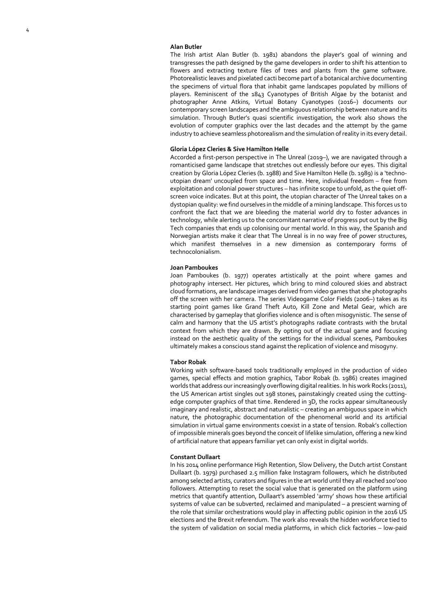#### **Alan Butler**

The Irish artist Alan Butler (b. 1981) abandons the player's goal of winning and transgresses the path designed by the game developers in order to shift his attention to flowers and extracting texture files of trees and plants from the game software. Photorealistic leaves and pixelated cacti become part of a botanical archive documenting the specimens of virtual flora that inhabit game landscapes populated by millions of players. Reminiscent of the 1843 Cyanotypes of British Algae by the botanist and photographer Anne Atkins, Virtual Botany Cyanotypes (2016 –) documents our contemporary screen landscapes and the ambiguous relationship between nature and its simulation. Through Butler's quasi scientific investigation, the work also shows the evolution of computer graphics over the last decades and the attempt by the game industry to achieve seamless photorealism and the simulation of reality in its every detail.

#### **Gloria L ópez Cleries & Sive Hamilton Helle**

Accorded a first -person perspective in The Unreal (2019 –), we are navigated through a romanticised game landscape that stretches out endlessly before our eyes. This digital creation by Gloria L ópez Cleries (b. 1988) and Sive Hamilton Helle (b. 1989) is a 'techno utopian dream' uncoupled from space and time. Here, individual freedom – free from exploitation and colonial power structures – has infinite scope to unfold, as the quiet offscreen voice indicates. But at this point, the utopian character of The Unreal takes on a dystopian quality: we find ourselves in the middle of a mining landscape. This forces us to confront the fact that we are bleeding the material world dry to foster advances in technology, while alerting us to the concomitant narrative of progress put out by the Big Tech companies that ends up colonising our mental world. In this way, the Spanish and Norwegian artists make it clear that The Unreal is in no way free of power structures, which manifest themselves in a new dimension as contemporary forms of technocolonialism.

#### **Joan Pamboukes**

Joan Pamboukes (b. 1977) operates artistically at the point where games and photography intersect. Her pictures, which bring to mind coloured skies and abstract cloud formations, are landscape images derived from video games that she photographs off the screen with her camera. The series Videogame Color Fields (2006–) takes as its starting point games like Grand Theft Auto, Kill Zone and Metal Gear, which are characterised by gameplay that glorifies violence and is often misogynistic. The sense of calm and harmony that the US artist's photographs radiate contrasts with the brutal context from which they are drawn. By opting out of the actual game and focusing instead on the aesthetic quality of the settings for the individual scenes, Pamboukes ultimately makes a conscious stand against the replication of violence and misogyny.

#### **Tabor Robak**

Working with software -based tools traditionally employed in the production of video games, special effects and motion graphics, Tabor Robak (b. 1986) creates imagined worlds that address our increasingly overflowing digital realities. In his work Rocks (2011), the US American artist singles out 198 stones, painstakingly created using the cutting edge computer graphics of that time. Rendered in 3D, the rocks appear simultaneously imaginary and realistic, abstract and naturalistic – creating an ambiguous space in which nature, the photographic documentation of the phenomenal world and its artificial simulation in virtual game environments coexist in a state of tension. Robak's collection of impossible minerals goes beyond the conceit of lifelike simulation, offering a new kind of artificial nature that appears familiar yet can only exist in digital worlds.

#### **Constant Dullaart**

In his 2014 online performance High Retention, Slow Delivery, the Dutch artist Constant Dullaart (b. 1979) purchased 2.5 million fake Instagram followers, which he distributed among selected artists, curators and figures in the art world until they all reached 100'000 followers. Attempting to reset the social value that is generated on the platform using metrics that quantify attention, Dullaart's assembled 'army' shows how these artificial systems of value can be subverted, reclaimed and manipulated – a prescient warning of the role that similar orchestrations would play in affecting public opinion in the 2016 US elections and the Brexit referendum. The work also reveals the hidden workforce tied to the system of validation on social media platforms, in which click factories – low -paid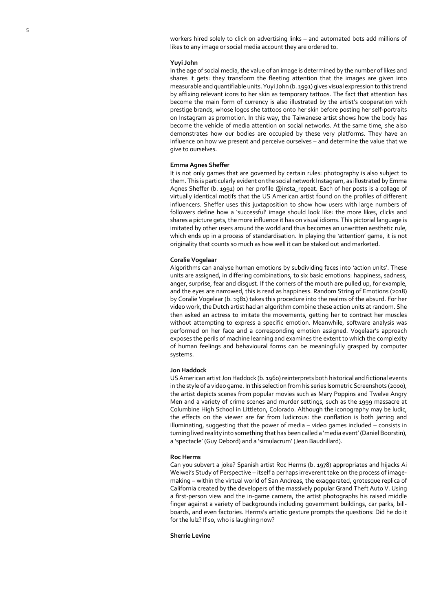workers hired solely to click on advertising links – and automated bots add millions of likes to any image or social media account they are ordered to.

#### **Yuyi John**

In the age of social media, the value of an image is determined by the number of likes and shares it gets: they transform the fleeting attention that the images are given into measurable and quantifiable units. Yuyi John (b. 1991) gives visual expression to this trend by affixing relevant icons to her skin as temporary tattoos. The fact that attention has become the main form of currency is also illustrated by the artist's cooperation with prestige brands, whose logos she tattoos onto her skin before posting her self -portraits on Instagram as promotion. In this way, the Taiwanese artist shows how the body has become the vehicle of media attention on social networks. At the same time, she also demonstrates how our bodies are occupied by these very platforms. They have an influence on how we present and perceive ourselves – and determine the value that we give to ourselves.

#### **Emma Agnes Sheffer**

It is not only games that are governed by certain rules: photography is also subject to them. This is particularly evident on the social network Instagram, as illustrated by Emma<br>Agnes Sheffer (b. 1991) on her profile @insta\_repeat. Each of her posts is a collage of virtually identical motifs that the US American artist found on the profiles of different influencers. Sheffer uses this juxtaposition to show how users with large numbers of followers define how a 'successful' image should look like: the more likes, clicks and shares a picture gets, the more influence it has on visual idioms. This pictorial language is imitated by other users around the world and thus becomes an unwritten aesthetic rule, which ends up in a process of standardisation. In playing the 'attention' game, it is not originality that counts so much as how well it can be staked out and marketed.

#### **Coralie Vogelaar**

Algorithms can analyse human emotions by subdividing faces into 'action units'. These units are assigned, in differing combinations, to six basic emotions: happiness, sadness, anger, surprise, fear and disgust. If the corners of the mouth are pulled up, for example, and the eyes are narrowed, this is read as happiness. Random String of Emotions (2018) by Coralie Vogelaar (b. 1981) takes this procedure into the realms of the absurd. For her video work, the Dutch artist had an algorithm combine these action units at random. She then asked an actress to imitate the movements, getting her to contract her muscles without attempting to express a specific emotion. Meanwhile, software analysis was performed on her face and a corresponding emotion assigned. Vogelaar's approach exposes the perils of machine learning and examines the extent to which the complexity of human feelings and behavioural forms can be meaningfully grasped by computer systems.

#### **Jon Haddock**

US American artist Jon Haddock (b. 1960) reinterprets both historical and fictional events in the style of a video game. In this selection from his series Isometric Screenshots (2000), the artist depicts scenes from popular movies such as Mary Poppins and Twelve Angry Men and a variety of crime scenes and murder settings, such as the 1999 massacre at Columbine High School in Littleton, Colorado. Although the iconography may be ludic, the effects on the viewer are far from ludicrous: the conflation is both jarring and illuminating, suggesting that the power of media – video games included – consists in turning lived reality into something that has been called a 'media event' (Daniel Boorstin), a 'spectacle' (Guy Debord) and a 'simulacrum' (Jean Baudrillard).

#### **Roc Herms**

Can you subvert a joke? Spanish artist Roc Herms (b. 1978) appropriates and hijacks Ai Weiwei's Study of Perspective – itself a perhaps irreverent take on the process of imagemaking – within the virtual world of San Andreas, the exaggerated, grotesque replica of California created by the developers of the massively popular Grand Theft Auto V. Using a first -person view and the in -game camera, the artist photographs his raised middle finger against a variety of backgrounds including government buildings, car parks, bill boards, and even factories. Herms's artistic gesture prompts the questions: Did he do it for the lulz? If so, who is laughing now?

#### **Sherrie Levine**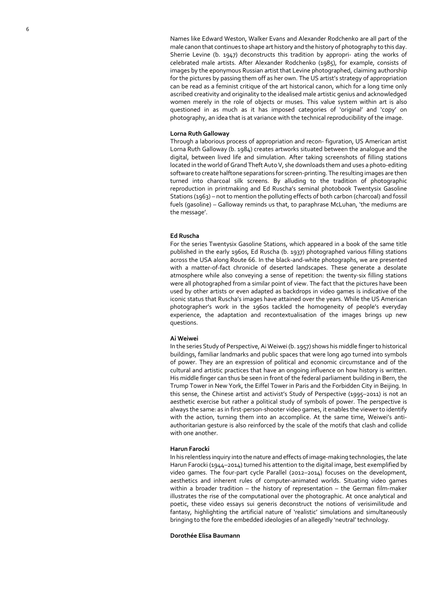Names like Edward Weston, Walker Evans and Alexander Rodchenko are all part of the male canon that continues to shape art history and the history of photography to this day. Sherrie Levine (b. 1947) deconstructs this tradition by appropri - ating the works of celebrated male artists. After Alexander Rodchenko (1985), for example, consists of images by the eponymous Russian artist that Levine photographed, claiming authorship for the pictures by passing them off as her own. The US artist's strategy of appropriation can be read as a feminist critique of the art historical canon, which for a long time only ascribed creativity and originality to the idealised male artistic genius and acknowledged women merely in the role of objects or muses. This value system within art is also questioned in as much as it has imposed categories of 'original' and 'copy' on photography, an idea that is at variance with the technical reproducibility of the image.

#### **Lorna Ruth Galloway**

Through a laborious process of appropriation and recon - figuration, US American artist Lorna Ruth Galloway (b. 1984) creates artworks situated between the analogue and the digital, between lived life and simulation. After taking screenshots of filling stations located in the world of Grand Theft Auto V, she downloads them and uses a photo -editing software to create halftone separations for screen -printing. The resulting images are then turned into charcoal silk screens. By alluding to the tradition of photographic reproduction in printmaking and Ed Ruscha's seminal photobook Twentysix Gasoline Stations (1963) – not to mention the polluting effects of both carbon (charcoal) and fossil fuels (gasoline) – Galloway reminds us that, to paraphrase McLuhan, 'the mediums are the message'.

#### **Ed Ruscha**

For the series Twentysix Gasoline Stations, which appeared in a book of the same title published in the early 1960s, Ed Ruscha (b. 1937) photographed various filling stations across the USA along Route 66. In the black -and -white photographs, we are presented with a matter -of -fact chronicle of deserted landscapes. These generate a desolate atmosphere while also conveying a sense of repetition: the twent y -six filling stations were all photographed from a similar point of view. The fact that the pictures have been used by other artists or even adapted as backdrops in video games is indicative of the iconic status that Ruscha's images have attained over the years. While the US American photographer's work in the 1960s tackled the homogeneity of people's everyday experience, the adaptation and recontextualisation of the images brings up new questions.

#### **Ai Weiwei**

In the series Study of Perspective, Ai Weiwei (b. 1957) shows his middle finger to historical buildings, familiar landmarks and public spaces that were long ago turned into symbols of power. They are an expression of political and economic circumstance and of the cultural and artistic practices that have an ongoing influence on how history is written. His middle finger can thus be seen in front of the federal parliament building in Bern, the Trump Tower in New York, the Eiffel Tower in Paris and the Forbidden City in Beijing. In this sense, the Chinese artist and activist's Study of Perspective (1995 –2011) is not an aesthetic exercise but rather a political study of symbols of power. The perspective is always the same: as in first -person -shooter video games, it enables the viewer to identify with the action, turning them into an accomplice. At the same time, Weiwei's anti authoritarian gesture is also reinforced by the scale of the motifs that clash and collide with one another.

#### **Harun Farocki**

In his relentless inquiry into the nature and effects of image -making technologies, the late Harun Farocki (1944 –2014) turned his attention to the digital image, best exemplified by video games. The four -part cycle Parallel (2012 –2014) focuses on the development, aesthetics and inherent rules of computer -animated worlds. Situating video games within a broader tradition – the history of representation – the German film -maker illustrates the rise of the computational over the photographic. At once analytical and poetic, these video essays sui generis deconstruct the notions of verisimilitude and fantasy, highlighting the artificial nature of 'realistic' simulations and simultaneously bringing to the fore the embedded ideologies of an allegedly 'neutral' technology.

#### **Doroth ée Elisa Baumann**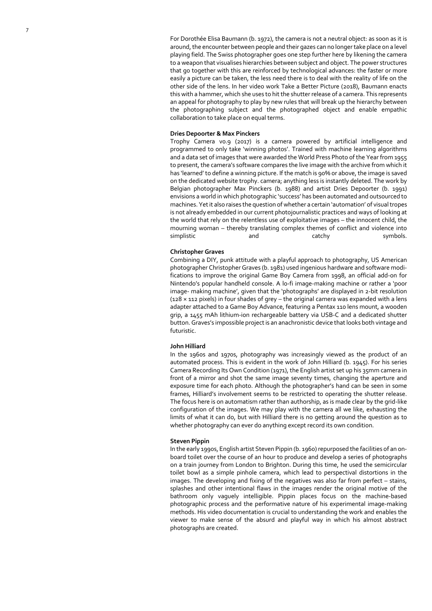For Doroth é e Elisa Baumann (b. 1972), the camera is not a neutral object: as soon as it is around, the encounter between people and their gazes can no longer take place on a level playing field. The Swiss photographer goes one step further here by likening the camera to a weapon that visualises hierarchies between subject and object. The power structures that go together with this are reinforced by technological advances: the faster or more easily a picture can be taken, the less need there is to deal with the reality of life on the other side of the lens. In her video work Take a Better Picture (2018), Baumann enacts this with a hammer, which she uses to hit the shutter release of a camera. This represents an appeal for photography to play by new rules that will break up the hierarchy between the photographing subject and the photographed object and enable empathic collaboration to take place on equal terms.

#### **Dries Depoorter & Max Pinckers**

Trophy Camera v0.9 (2017) is a camera powered by artificial intelligence and programmed to only take 'winning photos'. Trained with machine learning algorithms and a data set of images that were awarded the World Press Photo of the Year from 1955 to present, the camera's software compares the live image with the archive from which it has 'learned' to define a winning picture. If the match is 90% or above, the image is saved on the dedicated website trophy. camera; anything less is instantly deleted. The work by Belgian photographer Max Pinckers (b. 1988) and artist Dries Depoorter (b. 1991) envisions a world in which photographic 'success' has been automated and outsourced to machines. Yet it also raises the question of whether a certain 'automation' of visual tropes is not already embedded in our current photojournalistic practices and ways of looking at the world that rely on the relentless use of exploitative images – the innocent child, the mourning woman – thereby translating complex themes of conflict and violence into simplistic and and catchy symbols.

#### **Christopher Graves**

Combining a DIY, punk attitude with a playful approach to photography, US American photographer Christopher Graves (b. 1981) used ingenious hardware and software modi fications to improve the original Game Boy Camera from 1998, an official add -on for Nintendo's popular handheld console. A lo -fi image -making machine or rather a 'poor image - making machine', given that the 'photographs' are displayed in 2 -bit resolution (128 × 112 pixels) in four shades of grey – the original camera was expanded with a lens adapter attached to a Game Boy Advance, featuring a Pentax 110 lens mount, a wooden grip, a 1455 mAh lithium -ion rechargeable battery via USB -C and a dedicated shutter button. Graves's impossible project is an anachronistic device that looks both vintage and futuristic.

#### **John Hilliard**

In the 1960s and 1970s, photography was increasingly viewed as the product of an automated process. This is evident in the work of John Hilliard (b. 1945). For his series Camera Recording Its Own Condition (1971), the English artist set up his 35mm camera in front of a mirror and shot the same image seventy times, changing the aperture and exposure time for each photo. Although the photographer's hand can be seen in some frames, Hilliard's involvement seems to be restricted to operating the shutter release. The focus here is on automatism rather than authorship, as is made clear by the grid -like configuration of the images. We may play with the camera all we like, exhausting the limits of what it can do, but with Hilliard there is no getting around the question as to whether photography can ever do anything except record its own condition.

#### **Steven Pippin**

In the early 1990s, English artist Steven Pippin (b. 1960) repurposed the facilities of an on board toilet over the course of an hour to produce and develop a series of photographs on a train journey from London to Brighton. During this time, he used the semicircular toilet bowl as a simple pinhole camera, which lead to perspectival distortions in the images. The developing and fixing of the negatives was also far from perfect – stains, splashes and other intentional flaws in the images render the original motive of the bathroom only vaguely intelligible. Pippin places focus on the machine -based photographic process and the performative nature of his experimental image -making methods. His video documentation is crucial to understanding the work and enables the viewer to make sense of the absurd and playful way in which his almost abstract photographs are created.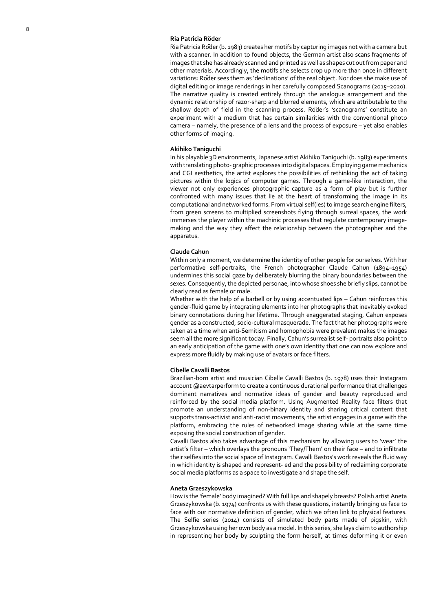#### **Ria Patricia Röder**

Ria Patricia R öder (b. 1983) creates her motifs by capturing images not with a camera but with a scanner. In addition to found objects, the German artist also scans fragments of images that she has already scanned and printed as well as shapes cut out from paper and other materials. Accordingly, the motifs she selects crop up more than once in different variations: R öder sees them as 'declinations' of the real object. Nor does she make use of digital editing or image renderings in her carefully composed Scanograms (2015 –2020). The narrative quality is created entirely through the analogue arrangement and the dynamic relationship of razor-sharp and blurred elements, which are attributable to the shallow depth of field in the scanning process. R öder's 'scanograms' constitute an experiment with a medium that has certain similarities with the conventional photo camera – namely, the presence of a lens and the process of exposure – yet also enables other forms of imaging.

#### **Akihiko Taniguchi**

In his playable 3D environments, Japanese artist Akihiko Taniguchi (b. 1983) experiments with translating photo - graphic processes into digital spaces. Employing game mechanics and CGI aesthetics, the artist explores the possibilities of rethinking the act of taking pictures within the logics of computer games. Through a game -like interaction, the viewer not only experiences photographic capture as a form of play but is further confronted with many issues that lie at the heart of transforming the image in its computational and networked forms. From virtual self(ies) to image search engine filters, from green screens to multiplied screenshots flying through surreal spaces, the work immerses the player within the machinic processes that regulate contemporary image making and the way they affect the relationship between the photographer and the apparatus.

#### **Claude Cahun**

Within only a moment, we determine the identity of other people for ourselves. With her performative self -portraits, the French photographer Claude Cahun (1894 –1954) undermines this social gaze by deliberately blurring the binary boundaries between the sexes. Consequently, the depicted personae, into whose shoes she briefly slips, cannot be clearly read as female or male.

Whether with the help of a barbell or by using accentuated lips – Cahun reinforces this gender -fluid game by integrating elements into her photographs that inevitably evoked binary connotations during her lifetime. Through exaggerated staging, Cahun exposes gender as a constructed, socio -cultural masquerade. The fact that her photographs were taken at a time when anti -Semitism and homophobia were prevalent makes the images seem all the more significant today. Finally, Cahun's surrealist self - portraits also point to an early anticipation of the game with one's own identity that one can now explore and express more fluidly by making use of avatars or face filters.

#### **Cibelle Cavalli Bastos**

Brazilian -born artist and musician Cibelle Cavalli Bastos (b. 1978) uses their Instagram account @aevtarperform to create a continuous durational performance that challenges dominant narratives and normative ideas of gender and beauty reproduced and reinforced by the social media platform. Using Augmented Reality face filters that promote an understanding of non -binary identity and sharing critical content that supports trans-activist and anti-racist movements, the artist engages in a game with the platform, embracing the rules of networked image sharing while at the same time exposing the social construction of gender.

Cavalli Bastos also takes advantage of this mechanism by allowing users to 'wear' the artist's filter – which overlays the pronouns 'They/Them' on their face – and to infiltrate their selfies into the social space of Instagram. Cavalli Bastos's work reveals the fluid way in which identity is shaped and represent - ed and the possibility of reclaiming corporate social media platforms as a space to investigate and shape the self.

#### **Aneta Grzeszykowska**

How is the 'female' body imagined? With full lips and shapely breasts? Polish artist Aneta Grzeszykowska (b. 1974) confronts us with these questions, instantly bringing us face to face with our normative definition of gender, which we often link to physical features. The Selfie series (2014) consists of simulated body parts made of pigskin, with Grzeszykowska using her own body as a model. In this series, she lays claim to authorship in representing her body by sculpting the form herself, at times deforming it or even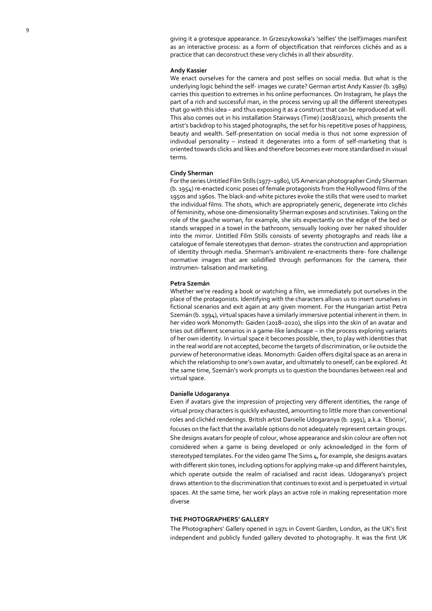giving it a grotesque appearance. In Grzeszykowska's 'selfies' the (self)images manifest as an interactive process: as a form of objectification that reinforces clich és and as a practice that can deconstruct these very clich és in all their absurdity.

#### **Andy Kassier**

We enact ourselves for the camera and post selfies on social media. But what is the underlying logic behind the self - images we curate? German artist Andy Kassier (b. 1989) carries this question to extremes in his online performances. On Instagram, he plays the part of a rich and successful man, in the process serving up all the different stereotypes that go with this idea – and thus exposing it as a construct that can be reproduced at will. This also comes out in his installation Stairways (Time) (2018/2021), which presents the artist's backdrop to his staged photographs, the set for his repetitive poses of happiness, beauty and wealth. Self -presentation on social media is thus not some expression of individual personality – instead it degenerates into a form of self -marketing that is oriented towards clicks and likes and therefore becomes ever more standardised in visual terms.

#### **Cindy Sherman**

For the series Untitled Film Stills (1977 –1980), US American photographer Cindy Sherman (b. 1954) re -enacted iconic poses of female protagonists from the Hollywood films of the 1950s and 1960s. The black-and-white pictures evoke the stills that were used to market the individual films. The shots, which are appropriately generic, degenerate into clich és of femininity, whose one -dimensionality Sherman exposes and scrutinises. Taking on the role of the gauche woman, for example, she sits expectantly on the edge of the bed or stands wrapped in a towel in the bathroom, sensually looking over her naked shoulder into the mirror. Untitled Film Stills consists of seventy photographs and reads like a catalogue of female stereotypes that demon - strates the construction and appropriation of identity through media. Sherman's ambivalent re-enactments there- fore challenge normative images that are solidified through performances for the camera, their instrumen - talisation and marketing.

#### **Petra Szem á n**

Whether we're reading a book or watching a film, we immediately put ourselves in the place of the protagonists. Identifying with the characters allows us to insert ourselves in fictional scenarios and exit again at any given moment. For the Hungarian artist Petra Szem án (b. 1994), virtual spaces have a similarly immersive potential inherent in them. In her video work Monomyth: Gaiden (2018 –2020), she slips into the skin of an avatar and tries out different scenarios in a game -like landscape – in the process exploring variants of her own identity. In virtual space it becomes possible, then, to play with identities that in the real world are not accepted, become the targets of discrimination, or lie outside the purview of heteronormative ideas. Monomyth: Gaiden offers digital space as an arena in which the relationship to one's own avatar, and ultimately to oneself, can be explored. At the same time, Szem án's work prompts us to question the boundaries between real and virtual space.

#### **Danielle Udogaranya**

Even if avatars give the impression of projecting very different identities, the range of virtual proxy characters is quickly exhausted, amounting to little more than conventional roles and clich é d renderings. British artist Danielle Udogaranya (b. 1991), a.k.a. 'Ebonix', focuses on the fact that the available options do not adequately represent certain groups. She designs avatars for people of colour, whose appearance and skin colour are often not considered when a game is being developed or only acknowledged in the form of stereotyped templates. For the video game The Sims 4, for example, she designs avatars with different skin tones, including options for applying make -up and different hairstyles, which operate outside the realm of racialised and racist ideas. Udogaranya's project draws attention to the discrimination that continues to exist and is perpetuated in virtual spaces. At the same time, her work plays an active role in making representation more diverse

#### **THE PHOTOGRAPHERS' GALLERY**

The Photographers' Gallery opened in 1971 in Covent Garden, London, as the UK's first independent and publicly funded gallery devoted to photography. It was the first UK